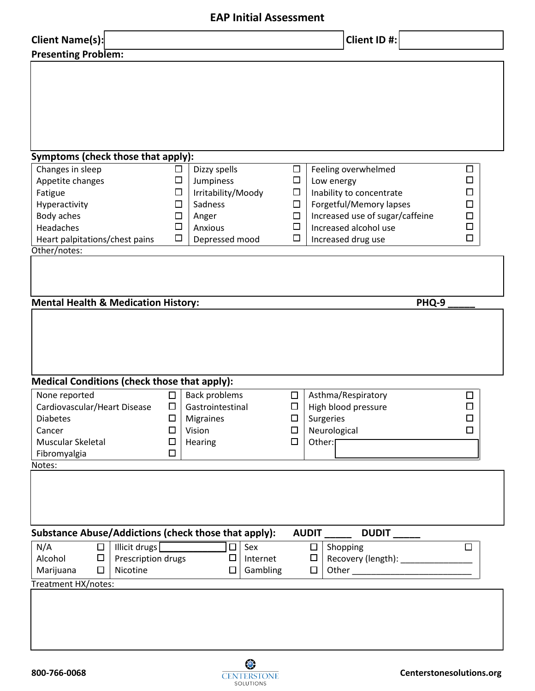## **EAP Initial Assessment**

| Client Name(s):                                      |        |                      |          |        |              | Client ID #:                        |        |  |
|------------------------------------------------------|--------|----------------------|----------|--------|--------------|-------------------------------------|--------|--|
| <b>Presenting Problem:</b>                           |        |                      |          |        |              |                                     |        |  |
|                                                      |        |                      |          |        |              |                                     |        |  |
|                                                      |        |                      |          |        |              |                                     |        |  |
|                                                      |        |                      |          |        |              |                                     |        |  |
|                                                      |        |                      |          |        |              |                                     |        |  |
|                                                      |        |                      |          |        |              |                                     |        |  |
|                                                      |        |                      |          |        |              |                                     |        |  |
|                                                      |        |                      |          |        |              |                                     |        |  |
|                                                      |        |                      |          |        |              |                                     |        |  |
| Symptoms (check those that apply):                   |        |                      |          |        |              |                                     |        |  |
| Changes in sleep                                     | ⊔      | Dizzy spells         |          | □      |              | Feeling overwhelmed                 | □      |  |
| Appetite changes                                     | □      | Jumpiness            |          | $\Box$ |              | Low energy                          | $\Box$ |  |
| Fatigue                                              | □      | Irritability/Moody   |          | □      |              | Inability to concentrate            | □      |  |
| Hyperactivity                                        | □      | Sadness              |          | □      |              | Forgetful/Memory lapses             | □      |  |
| Body aches                                           | □      | Anger                |          | $\Box$ |              | Increased use of sugar/caffeine     | □      |  |
| Headaches                                            | □      | Anxious              |          | $\Box$ |              | Increased alcohol use               | $\Box$ |  |
| Heart palpitations/chest pains                       | $\Box$ | Depressed mood       |          | $\Box$ |              | Increased drug use                  | □      |  |
| Other/notes:                                         |        |                      |          |        |              |                                     |        |  |
|                                                      |        |                      |          |        |              |                                     |        |  |
|                                                      |        |                      |          |        |              |                                     |        |  |
|                                                      |        |                      |          |        |              |                                     |        |  |
| <b>Mental Health &amp; Medication History:</b>       |        |                      |          |        |              |                                     | PHQ-9  |  |
|                                                      |        |                      |          |        |              |                                     |        |  |
|                                                      |        |                      |          |        |              |                                     |        |  |
|                                                      |        |                      |          |        |              |                                     |        |  |
|                                                      |        |                      |          |        |              |                                     |        |  |
|                                                      |        |                      |          |        |              |                                     |        |  |
|                                                      |        |                      |          |        |              |                                     |        |  |
|                                                      |        |                      |          |        |              |                                     |        |  |
| <b>Medical Conditions (check those that apply):</b>  |        |                      |          |        |              |                                     |        |  |
| None reported                                        | $\Box$ | <b>Back problems</b> |          | □      |              | Asthma/Respiratory                  | □      |  |
| Cardiovascular/Heart Disease                         | $\Box$ | Gastrointestinal     |          | □      |              | High blood pressure                 | □      |  |
| Diabetes                                             | $\Box$ | Migraines            |          | $\Box$ |              |                                     | $\Box$ |  |
| Cancer                                               | $\Box$ | Vision               |          | □      |              | Surgeries<br>Neurological           | $\Box$ |  |
| Muscular Skeletal                                    | $\Box$ |                      |          | □      | Other:       |                                     |        |  |
|                                                      | □      | Hearing              |          |        |              |                                     |        |  |
| Fibromyalgia                                         |        |                      |          |        |              |                                     |        |  |
| Notes:                                               |        |                      |          |        |              |                                     |        |  |
|                                                      |        |                      |          |        |              |                                     |        |  |
|                                                      |        |                      |          |        |              |                                     |        |  |
|                                                      |        |                      |          |        |              |                                     |        |  |
|                                                      |        |                      |          |        |              |                                     |        |  |
| Substance Abuse/Addictions (check those that apply): |        |                      |          |        | <b>AUDIT</b> | DUDIT_                              |        |  |
| Illicit drugs<br>N/A<br>$\Box$                       |        | $\Box$               | Sex      |        | $\Box$       | Shopping                            | $\Box$ |  |
| Prescription drugs<br>Alcohol<br>□                   |        | □                    | Internet |        | $\Box$       | Recovery (length): ________________ |        |  |
| Nicotine<br>□<br>Marijuana                           |        | □                    | Gambling |        | □            |                                     |        |  |
| Treatment HX/notes:                                  |        |                      |          |        |              |                                     |        |  |
|                                                      |        |                      |          |        |              |                                     |        |  |
|                                                      |        |                      |          |        |              |                                     |        |  |
|                                                      |        |                      |          |        |              |                                     |        |  |
|                                                      |        |                      |          |        |              |                                     |        |  |
|                                                      |        |                      |          |        |              |                                     |        |  |

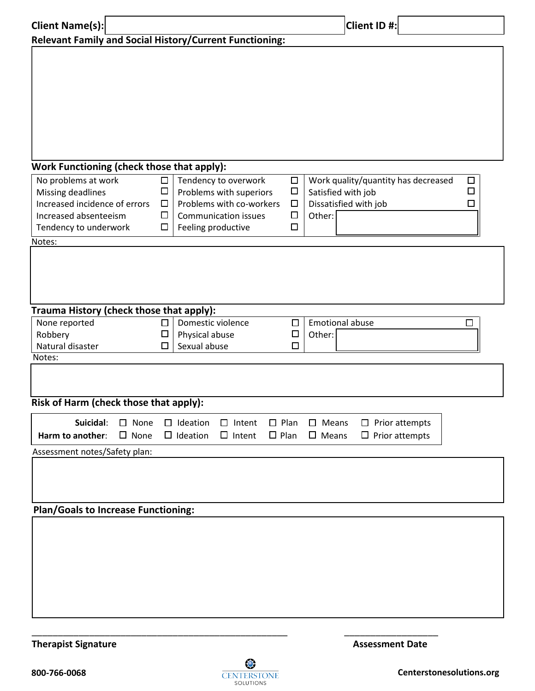| <b>Client Name(s):</b>                                                                                                                |                               |                            |                                                     |                                                                                                            |                            |                                                | Client ID #:                                                                                                     |
|---------------------------------------------------------------------------------------------------------------------------------------|-------------------------------|----------------------------|-----------------------------------------------------|------------------------------------------------------------------------------------------------------------|----------------------------|------------------------------------------------|------------------------------------------------------------------------------------------------------------------|
| <b>Relevant Family and Social History/Current Functioning:</b>                                                                        |                               |                            |                                                     |                                                                                                            |                            |                                                |                                                                                                                  |
|                                                                                                                                       |                               |                            |                                                     |                                                                                                            |                            |                                                |                                                                                                                  |
| Work Functioning (check those that apply):                                                                                            |                               |                            |                                                     |                                                                                                            |                            |                                                |                                                                                                                  |
| No problems at work<br>Missing deadlines<br>Increased incidence of errors<br>Increased absenteeism<br>Tendency to underwork<br>Notes: |                               | □<br>$\Box$<br>□<br>□<br>□ | Feeling productive                                  | Tendency to overwork<br>Problems with superiors<br>Problems with co-workers<br><b>Communication issues</b> |                            | $\Box$<br>$\Box$<br>$\Box$<br>$\Box$<br>$\Box$ | Work quality/quantity has decreased<br>$\Box$<br>◻<br>Satisfied with job<br>Dissatisfied with job<br>□<br>Other: |
| Trauma History (check those that apply):                                                                                              |                               |                            |                                                     |                                                                                                            |                            |                                                |                                                                                                                  |
| None reported<br>Robbery<br>Natural disaster<br>Notes:                                                                                |                               | □<br>□<br>П                | Domestic violence<br>Physical abuse<br>Sexual abuse |                                                                                                            |                            | □<br>$\Box$<br>П                               | <b>Emotional abuse</b><br>$\Box$<br>Other:                                                                       |
| Risk of Harm (check those that apply):<br>Suicidal:<br>Harm to another:                                                               | $\square$ None<br>$\Box$ None |                            | $\Box$ Ideation<br>$\Box$ Ideation                  | $\Box$ Intent<br>$\Box$ Intent                                                                             | $\Box$ Plan<br>$\Box$ Plan |                                                | $\square$ Means<br>$\Box$ Prior attempts<br>$\square$ Means<br>$\Box$ Prior attempts                             |
| Assessment notes/Safety plan:                                                                                                         |                               |                            |                                                     |                                                                                                            |                            |                                                |                                                                                                                  |
| <b>Plan/Goals to Increase Functioning:</b>                                                                                            |                               |                            |                                                     |                                                                                                            |                            |                                                |                                                                                                                  |

**Therapist Signature** 

\_\_\_\_\_\_\_\_\_\_\_\_\_\_\_\_\_\_\_\_\_\_\_\_\_\_\_\_\_\_\_\_\_\_\_\_\_\_\_\_\_\_\_\_\_\_\_\_\_

\_\_\_\_\_\_\_\_\_\_\_\_\_\_\_\_\_\_ **Assessment Date**